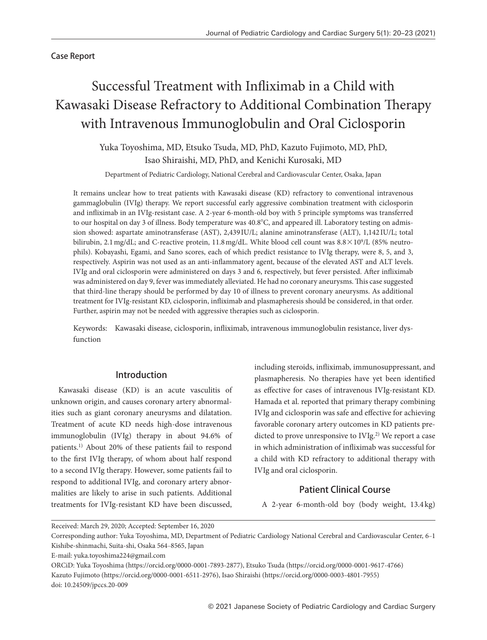## Case Report

# Successful Treatment with Infliximab in a Child with Kawasaki Disease Refractory to Additional Combination Therapy with Intravenous Immunoglobulin and Oral Ciclosporin

Yuka Toyoshima, MD, Etsuko Tsuda, MD, PhD, Kazuto Fujimoto, MD, PhD, Isao Shiraishi, MD, PhD, and Kenichi Kurosaki, MD

Department of Pediatric Cardiology, National Cerebral and Cardiovascular Center, Osaka, Japan

It remains unclear how to treat patients with Kawasaki disease (KD) refractory to conventional intravenous gammaglobulin (IVIg) therapy. We report successful early aggressive combination treatment with ciclosporin and infliximab in an IVIg-resistant case. A 2-year 6-month-old boy with 5 principle symptoms was transferred to our hospital on day 3 of illness. Body temperature was 40.8°C, and appeared ill. Laboratory testing on admission showed: aspartate aminotransferase (AST), 2,439 IU/L; alanine aminotransferase (ALT), 1,142 IU/L; total bilirubin, 2.1 mg/dL; and C-reactive protein, 11.8 mg/dL. White blood cell count was  $8.8 \times 10^9$ /L (85% neutrophils). Kobayashi, Egami, and Sano scores, each of which predict resistance to IVIg therapy, were 8, 5, and 3, respectively. Aspirin was not used as an anti-inflammatory agent, because of the elevated AST and ALT levels. IVIg and oral ciclosporin were administered on days 3 and 6, respectively, but fever persisted. After infliximab was administered on day 9, fever was immediately alleviated. He had no coronary aneurysms. This case suggested that third-line therapy should be performed by day 10 of illness to prevent coronary aneurysms. As additional treatment for IVIg-resistant KD, ciclosporin, infliximab and plasmapheresis should be considered, in that order. Further, aspirin may not be needed with aggressive therapies such as ciclosporin.

Keywords: Kawasaki disease, ciclosporin, infliximab, intravenous immunoglobulin resistance, liver dysfunction

## Introduction

Kawasaki disease (KD) is an acute vasculitis of unknown origin, and causes coronary artery abnormalities such as giant coronary aneurysms and dilatation. Treatment of acute KD needs high-dose intravenous immunoglobulin (IVIg) therapy in about 94.6% of patients.1) About 20% of these patients fail to respond to the first IVIg therapy, of whom about half respond to a second IVIg therapy. However, some patients fail to respond to additional IVIg, and coronary artery abnormalities are likely to arise in such patients. Additional treatments for IVIg-resistant KD have been discussed,

including steroids, infliximab, immunosuppressant, and plasmapheresis. No therapies have yet been identified as effective for cases of intravenous IVIg-resistant KD. Hamada et al. reported that primary therapy combining IVIg and ciclosporin was safe and effective for achieving favorable coronary artery outcomes in KD patients predicted to prove unresponsive to  $IVIg<sub>1</sub><sup>2</sup>$  We report a case in which administration of infliximab was successful for a child with KD refractory to additional therapy with IVIg and oral ciclosporin.

# Patient Clinical Course

A 2-year 6-month-old boy (body weight, 13.4 kg)

Received: March 29, 2020; Accepted: September 16, 2020

Corresponding author: Yuka Toyoshima, MD, Department of Pediatric Cardiology National Cerebral and Cardiovascular Center, 6‒1 Kishibe-shinmachi, Suita-shi, Osaka 564-8565, Japan

E-mail: yuka.toyoshima224@gmail.com

ORCiD: Yuka Toyoshima (https://orcid.org/0000-0001-7893-2877), Etsuko Tsuda (https://orcid.org/0000-0001-9617-4766) Kazuto Fujimoto (https://orcid.org/0000-0001-6511-2976), Isao Shiraishi (https://orcid.org/0000-0003-4801-7955) doi: 10.24509/jpccs.20-009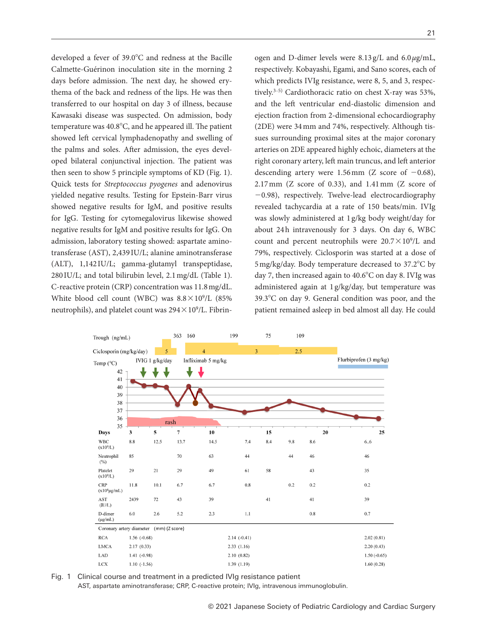developed a fever of 39.0°C and redness at the Bacille Calmette-Guérinon inoculation site in the morning 2 days before admission. The next day, he showed erythema of the back and redness of the lips. He was then transferred to our hospital on day 3 of illness, because Kawasaki disease was suspected. On admission, body temperature was  $40.8^{\circ}$ C, and he appeared ill. The patient showed left cervical lymphadenopathy and swelling of the palms and soles. After admission, the eyes developed bilateral conjunctival injection. The patient was then seen to show 5 principle symptoms of KD (Fig. 1). Quick tests for *Streptococcus pyogenes* and adenovirus yielded negative results. Testing for Epstein-Barr virus showed negative results for IgM, and positive results for IgG. Testing for cytomegalovirus likewise showed negative results for IgM and positive results for IgG. On admission, laboratory testing showed: aspartate aminotransferase (AST), 2,439 IU/L; alanine aminotransferase (ALT), 1,142 IU/L; gamma-glutamyl transpeptidase, 280 IU/L; and total bilirubin level, 2.1 mg/dL (Table 1). C-reactive protein (CRP) concentration was 11.8 mg/dL. White blood cell count (WBC) was  $8.8 \times 10^9$ /L (85%) neutrophils), and platelet count was  $294 \times 10^9$ /L. Fibrinogen and D-dimer levels were 8.13 g/L and 6.0 *µ*g/mL, respectively. Kobayashi, Egami, and Sano scores, each of which predicts IVIg resistance, were 8, 5, and 3, respectively.<sup>3–5)</sup> Cardiothoracic ratio on chest X-ray was 53%, and the left ventricular end-diastolic dimension and ejection fraction from 2-dimensional echocardiography (2DE) were 34 mm and 74%, respectively. Although tissues surrounding proximal sites at the major coronary arteries on 2DE appeared highly echoic, diameters at the right coronary artery, left main truncus, and left anterior descending artery were 1.56 mm (Z score of  $-0.68$ ), 2.17 mm (Z score of 0.33), and 1.41 mm (Z score of −0.98), respectively. Twelve-lead electrocardiography revealed tachycardia at a rate of 150 beats/min. IVIg was slowly administered at 1 g/kg body weight/day for about 24h intravenously for 3 days. On day 6, WBC count and percent neutrophils were  $20.7 \times 10^9$ /L and 79%, respectively. Ciclosporin was started at a dose of 5 mg/kg/day. Body temperature decreased to 37.2°C by day 7, then increased again to 40.6°C on day 8. IVIg was administered again at 1 g/kg/day, but temperature was 39.3°C on day 9. General condition was poor, and the patient remained asleep in bed almost all day. He could



Fig. 1 Clinical course and treatment in a predicted IVIg resistance patient

AST, aspartate aminotransferase; CRP, C-reactive protein; IVIg, intravenous immunoglobulin.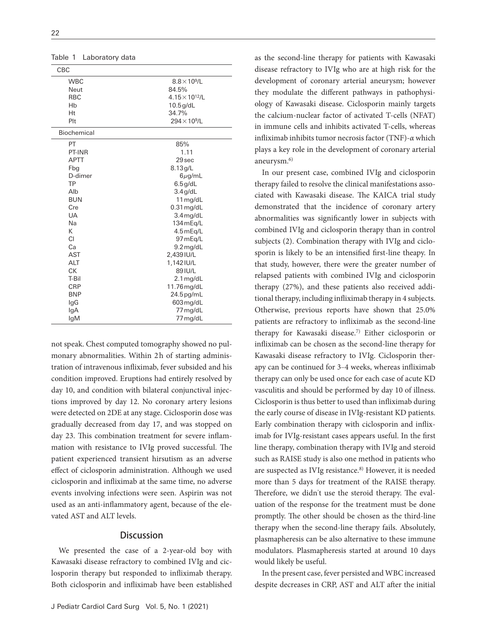| CBC           |                          |
|---------------|--------------------------|
| <b>WBC</b>    | $8.8\times10^9$ /L       |
| Neut          | 84.5%                    |
| <b>RBC</b>    | $4.15 \times 10^{12}$ /L |
| Hb            | $10.5$ g/dL              |
| Ht            | 34.7%                    |
| Plt           | $294\times10^9$ /L       |
| Biochemical   |                          |
| PT            | 85%                      |
| <b>PT-INR</b> | 1.11                     |
| <b>APTT</b>   | 29 sec                   |
| Fbg           | 8.13g/L                  |
| D-dimer       | $6\mu$ g/mL              |
| TP            | $6.5$ g/dL               |
| Alb           | $3.4$ g/dL               |
| <b>BUN</b>    | $11$ mg/dL               |
| Cre           | $0.31$ mg/dL             |
| UA            | $3.4$ mg/dL              |
| Na            | 134 m Eq/L               |
| К             | 4.5 m Eq/L               |
| CI            | 97 mEq/L                 |
| Ca            | $9.2$ mg/dL              |
| <b>AST</b>    | 2,439 IU/L               |
| <b>ALT</b>    | 1,142 IU/L               |
| <b>CK</b>     | 89 IU/L                  |
| T-Bil         | 2.1 mg/dL                |
| <b>CRP</b>    | 11.76 mg/dL              |
| <b>BNP</b>    | 24.5pg/mL                |
| lgG           | 603 mg/dL                |
| lgA           | 77 mg/dL                 |
| lgM           | 77 mg/dL                 |

Table 1 Laboratory data

not speak. Chest computed tomography showed no pulmonary abnormalities. Within 2h of starting administration of intravenous infliximab, fever subsided and his condition improved. Eruptions had entirely resolved by day 10, and condition with bilateral conjunctival injections improved by day 12. No coronary artery lesions were detected on 2DE at any stage. Ciclosporin dose was gradually decreased from day 17, and was stopped on day 23. This combination treatment for severe inflammation with resistance to IVIg proved successful. The patient experienced transient hirsutism as an adverse effect of ciclosporin administration. Although we used ciclosporin and infliximab at the same time, no adverse events involving infections were seen. Aspirin was not used as an anti-inflammatory agent, because of the elevated AST and ALT levels.

#### **Discussion**

We presented the case of a 2-year-old boy with Kawasaki disease refractory to combined IVIg and ciclosporin therapy but responded to infliximab therapy. Both ciclosporin and infliximab have been established

as the second-line therapy for patients with Kawasaki disease refractory to IVIg who are at high risk for the development of coronary arterial aneurysm; however they modulate the different pathways in pathophysiology of Kawasaki disease. Ciclosporin mainly targets the calcium-nuclear factor of activated T-cells (NFAT) in immune cells and inhibits activated T-cells, whereas infliximab inhibits tumor necrosis factor (TNF)-*α* which plays a key role in the development of coronary arterial aneurysm.6)

In our present case, combined IVIg and ciclosporin therapy failed to resolve the clinical manifestations associated with Kawasaki disease. The KAICA trial study demonstrated that the incidence of coronary artery abnormalities was signicantly lower in subjects with combined IVIg and ciclosporin therapy than in control subjects (2). Combination therapy with IVIg and ciclosporin is likely to be an intensified first-line theapy. In that study, however, there were the greater number of relapsed patients with combined IVIg and ciclosporin therapy (27%), and these patients also received additional therapy, including infliximab therapy in 4 subjects. Otherwise, previous reports have shown that 25.0% patients are refractory to infliximab as the second-line therapy for Kawasaki disease.7) Either ciclosporin or infliximab can be chosen as the second-line therapy for Kawasaki disease refractory to IVIg. Ciclosporin therapy can be continued for 3–4 weeks, whereas infliximab therapy can only be used once for each case of acute KD vasculitis and should be performed by day 10 of illness. Ciclosporin is thus better to used than infliximab during the early course of disease in IVIg-resistant KD patients. Early combination therapy with ciclosporin and infliximab for IVIg-resistant cases appears useful. In the first line therapy, combination therapy with IVIg and steroid such as RAISE study is also one method in patients who are suspected as IVIg resistance.<sup>8)</sup> However, it is needed more than 5 days for treatment of the RAISE therapy. Therefore, we didn't use the steroid therapy. The evaluation of the response for the treatment must be done promptly. The other should be chosen as the third-line therapy when the second-line therapy fails. Absolutely, plasmapheresis can be also alternative to these immune modulators. Plasmapheresis started at around 10 days would likely be useful.

In the present case, fever persisted and WBC increased despite decreases in CRP, AST and ALT after the initial